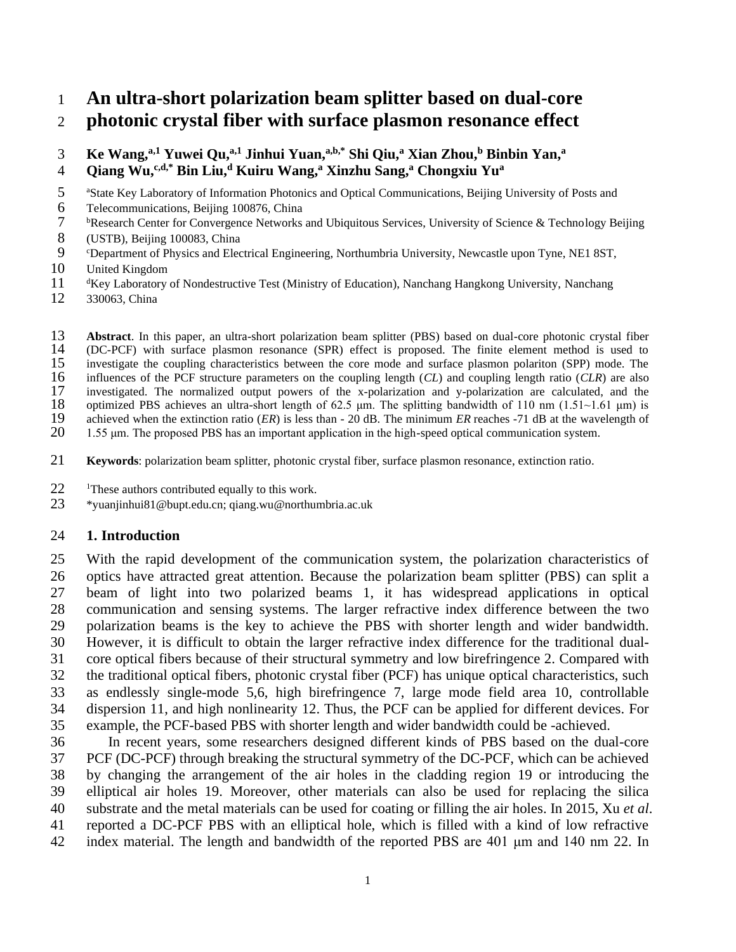# **An ultra-short polarization beam splitter based on dual-core photonic crystal fiber with surface plasmon resonance effect**

# **Ke Wang,a,1 Yuwei Qu, a,1 Jinhui Yuan, a,b,\* Shi Qiu,<sup>a</sup> Xian Zhou, <sup>b</sup> Binbin Yan, <sup>a</sup>**

- **Qiang Wu, c,d,\* Bin Liu,<sup>d</sup> Kuiru Wang, <sup>a</sup> Xinzhu Sang, <sup>a</sup> Chongxiu Yu<sup>a</sup>**
- 5 a <sup>a</sup> State Key Laboratory of Information Photonics and Optical Communications, Beijing University of Posts and
- Telecommunications, Beijing 100876, China
- <sup>b</sup> Research Center for Convergence Networks and Ubiquitous Services, University of Science & Technology Beijing
- (USTB), Beijing 100083, China
- <sup>c</sup>Department of Physics and Electrical Engineering, Northumbria University, Newcastle upon Tyne, NE1 8ST,
- United Kingdom
- 11 dKey Laboratory of Nondestructive Test (Ministry of Education), Nanchang Hangkong University, Nanchang
- 330063, China
- **Abstract**. In this paper, an ultra-short polarization beam splitter (PBS) based on dual-core photonic crystal fiber (DC-PCF) with surface plasmon resonance (SPR) effect is proposed. The finite element method is used to 14 (DC-PCF) with surface plasmon resonance (SPR) effect is proposed. The finite element method is used to investigate the coupling characteristics between the core mode and surface plasmon polariton (SPP) mode. The

15 investigate the coupling characteristics between the core mode and surface plasmon polariton (SPP) mode. The 16 influences of the PCF structure parameters on the coupling length (CL) and coupling length ratio (CLR) are

16 influences of the PCF structure parameters on the coupling length (*CL*) and coupling length ratio (*CLR*) are also<br>17 investigated. The normalized output powers of the x-polarization and y-polarization are calculated,

17 investigated. The normalized output powers of the x-polarization and y-polarization are calculated, and the optimized PBS achieves an ultra-short length of 62.5  $\mu$ m. The splitting bandwidth of 110 nm (1.51~1.61  $\mu$ m)

18 optimized PBS achieves an ultra-short length of 62.5 μm. The splitting bandwidth of 110 nm (1.51~1.61 μm) is achieved when the extinction ratio (*ER*) is less than - 20 dB. The minimum *ER* reaches -71 dB at the wavele

- 19 achieved when the extinction ratio (*ER*) is less than 20 dB. The minimum *ER* reaches -71 dB at the wavelength of 20 1.55 um. The proposed PBS has an important application in the high-speed optical communication syst 1.55 μm. The proposed PBS has an important application in the high-speed optical communication system.
- **Keywords**: polarization beam splitter, photonic crystal fiber, surface plasmon resonance, extinction ratio.
- 22 <sup>1</sup>These authors contributed equally to this work.<br>23 \*vuaniinhui81@bupt.edu.cn: giang.wu@northur
- \*yuanjinhui81@bupt.edu.cn; qiang.wu@northumbria.ac.uk

## **1. Introduction**

 With the rapid development of the communication system, the polarization characteristics of optics have attracted great attention. Because the polarization beam splitter (PBS) can split a beam of light into two polarized beams [1,](#page-10-0) it has widespread applications in optical communication and sensing systems. The larger refractive index difference between the two polarization beams is the key to achieve the PBS with shorter length and wider bandwidth. However, it is difficult to obtain the larger refractive index difference for the traditional dual- core optical fibers because of their structural symmetry and low birefringence [2.](#page-10-1) Compared with the traditional optical fibers, photonic crystal fiber (PCF) has unique optical characteristics, such as endlessly single-mode [5](#page-10-2)[,6,](#page-10-3) high birefringence [7,](#page-10-4) large mode field area [10,](#page-10-5) controllable dispersion [11,](#page-10-6) and high nonlinearity [12.](#page-10-7) Thus, the PCF can be applied for different devices. For example, the PCF-based PBS with shorter length and wider bandwidth could be -achieved.

 In recent years, some researchers designed different kinds of PBS based on the dual-core PCF (DC-PCF) through breaking the structural symmetry of the DC-PCF, which can be achieved by changing the arrangement of the air holes in the cladding region [19](#page-11-0) or introducing the elliptical air holes [19.](#page-11-0) Moreover, other materials can also be used for replacing the silica substrate and the metal materials can be used for coating or filling the air holes. In 2015, Xu *et al*. reported a DC-PCF PBS with an elliptical hole, which is filled with a kind of low refractive index material. The length and bandwidth of the reported PBS are 401 μm and 140 nm [22.](#page-11-1) In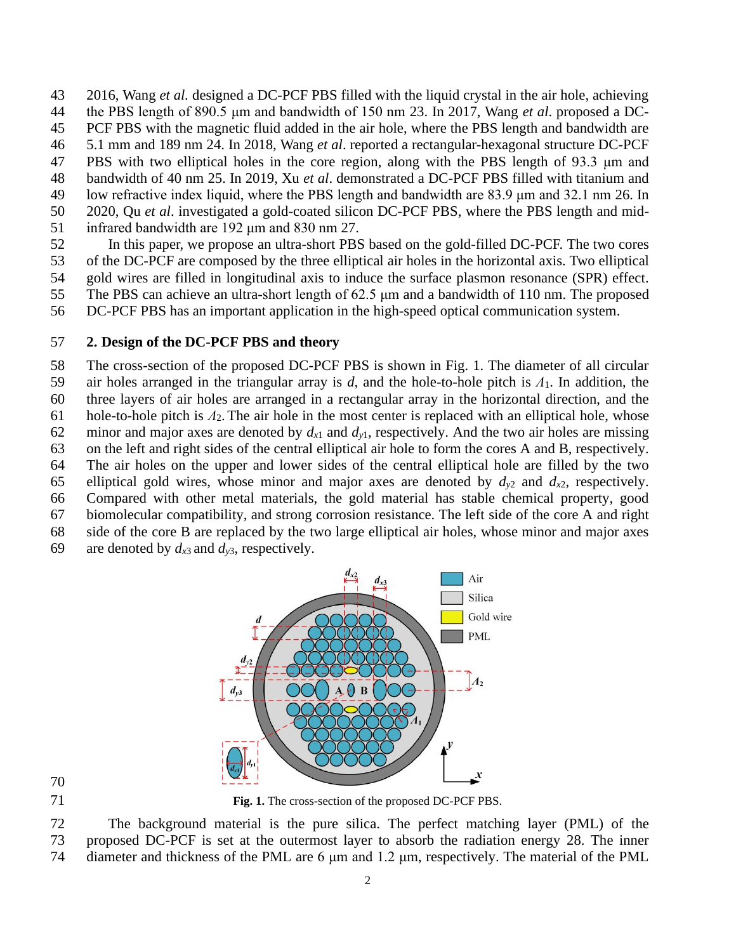2016, Wang *et al.* designed a DC-PCF PBS filled with the liquid crystal in the air hole, achieving the PBS length of 890.5 μm and bandwidth of 150 nm [23.](#page-11-2) In 2017, Wang *et al*. proposed a DC- PCF PBS with the magnetic fluid added in the air hole, where the PBS length and bandwidth are 5.1 mm and 189 nm [24.](#page-11-3) In 2018, Wang *et al*. reported a rectangular-hexagonal structure DC-PCF PBS with two elliptical holes in the core region, along with the PBS length of 93.3 μm and bandwidth of 40 nm [25.](#page-11-4) In 2019, Xu *et al*. demonstrated a DC-PCF PBS filled with titanium and low refractive index liquid, where the PBS length and bandwidth are 83.9 μm and 32.1 nm [26.](#page-11-5) In 2020, Qu *et al*. investigated a gold-coated silicon DC-PCF PBS, where the PBS length and mid-infrared bandwidth are 192 μm and 830 nm [27.](#page-11-6)

 In this paper, we propose an ultra-short PBS based on the gold-filled DC-PCF. The two cores of the DC-PCF are composed by the three elliptical air holes in the horizontal axis. Two elliptical gold wires are filled in longitudinal axis to induce the surface plasmon resonance (SPR) effect. The PBS can achieve an ultra-short length of 62.5 μm and a bandwidth of 110 nm. The proposed

DC-PCF PBS has an important application in the high-speed optical communication system.

# **2. Design of the DC-PCF PBS and theory**

 The cross-section of the proposed DC-PCF PBS is shown in Fig. 1. The diameter of all circular air holes arranged in the triangular array is *d*, and the hole-to-hole pitch is *Λ*1. In addition, the three layers of air holes are arranged in a rectangular array in the horizontal direction, and the hole-to-hole pitch is *Λ*2. The air hole in the most center is replaced with an elliptical hole, whose 62 minor and major axes are denoted by  $d_{x1}$  and  $d_{y1}$ , respectively. And the two air holes are missing on the left and right sides of the central elliptical air hole to form the cores A and B, respectively. The air holes on the upper and lower sides of the central elliptical hole are filled by the two 65 elliptical gold wires, whose minor and major axes are denoted by  $d_{v2}$  and  $d_{x2}$ , respectively. Compared with other metal materials, the gold material has stable chemical property, good biomolecular compatibility, and strong corrosion resistance. The left side of the core A and right side of the core B are replaced by the two large elliptical air holes, whose minor and major axes 69 are denoted by  $d_{x3}$  and  $d_{y3}$ , respectively.



**Fig. 1.** The cross-section of the proposed DC-PCF PBS.

 The background material is the pure silica. The perfect matching layer (PML) of the proposed DC-PCF is set at the outermost layer to absorb the radiation energy [28.](#page-11-7) The inner diameter and thickness of the PML are 6 μm and 1.2 μm, respectively. The material of the PML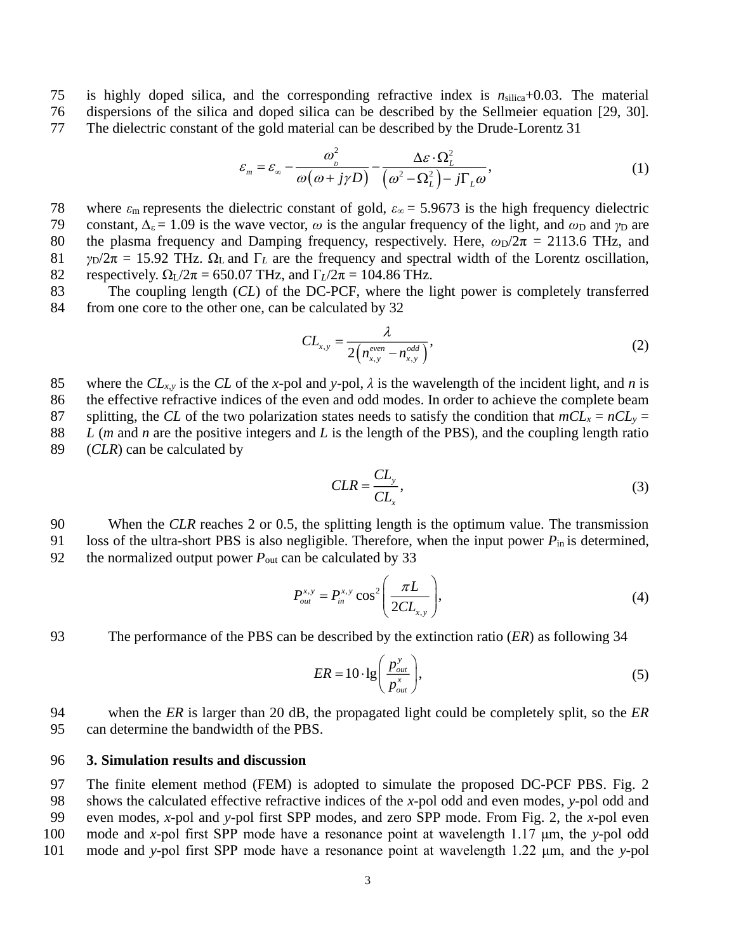75 is highly doped silica, and the corresponding refractive index is *n*silica+0.03. The material 76 dispersions of the silica and doped silica can be described by the Sellmeier equation [29, 30]. 77 The dielectric constant of the gold material can be described by the Drude-Lorentz [31](#page-11-8)

$$
\varepsilon_m = \varepsilon_{\infty} - \frac{\omega_{\rho}^2}{\omega(\omega + j\gamma D)} - \frac{\Delta \varepsilon \cdot \Omega_L^2}{(\omega^2 - \Omega_L^2) - j\Gamma_L \omega},
$$
\n(1)

78 where *ε*<sup>m</sup> represents the dielectric constant of gold, *ε*∞ = 5.9673 is the high frequency dielectric 79 constant,  $\Delta_{\epsilon} = 1.09$  is the wave vector,  $\omega$  is the angular frequency of the light, and  $\omega_D$  and  $\gamma_D$  are

80 the plasma frequency and Damping frequency, respectively. Here,  $\omega_D/2\pi = 2113.6$  THz, and 81 *γ*<sub>D</sub>/2 $\pi$  = 15.92 THz.  $\Omega$ <sub>L</sub> and  $\Gamma$ <sub>L</sub> are the frequency and spectral width of the Lorentz oscillation, 82 respectively.  $\Omega_L/2\pi = 650.07$  THz, and  $\Gamma_L/2\pi = 104.86$  THz.

83 The coupling length (*CL*) of the DC-PCF, where the light power is completely transferred 84 from one core to the other one, can be calculated by [32](#page-11-9)

$$
CL_{x,y} = \frac{\lambda}{2\left(n_{x,y}^{even} - n_{x,y}^{odd}\right)},
$$
\n(2)

85 where the  $CL_{x,y}$  is the  $CL$  of the *x*-pol and *y*-pol,  $\lambda$  is the wavelength of the incident light, and *n* is

86 the effective refractive indices of the even and odd modes. In order to achieve the complete beam 87 splitting, the *CL* of the two polarization states needs to satisfy the condition that  $mCL_x = nCL_y =$ 88 *L* (*m* and *n* are the positive integers and *L* is the length of the PBS), and the coupling length ratio

89 (*CLR*) can be calculated by

$$
CLR = \frac{CL_y}{CL_x},\tag{3}
$$

90 When the *CLR* reaches 2 or 0.5, the splitting length is the optimum value. The transmission 91 loss of the ultra-short PBS is also negligible. Therefore, when the input power *P*in is determined, 92 the normalized output power  $P_{\text{out}}$  can be calculated by [33](#page-11-10)

$$
P_{out}^{x,y} = P_{in}^{x,y} \cos^2 \left( \frac{\pi L}{2CL_{x,y}} \right),
$$
 (4)

93 The performance of the PBS can be described by the extinction ratio (*ER*) as following [34](#page-11-11)

$$
ER = 10 \cdot \lg \left( \frac{p_{out}^{y}}{p_{out}^{x}} \right),
$$
\n<sup>(5)</sup>

94 when the *ER* is larger than 20 dB, the propagated light could be completely split, so the *ER* 95 can determine the bandwidth of the PBS.

#### 96 **3. Simulation results and discussion**

 The finite element method (FEM) is adopted to simulate the proposed DC-PCF PBS. Fig. 2 shows the calculated effective refractive indices of the *x*-pol odd and even modes, *y*-pol odd and even modes, *x*-pol and *y*-pol first SPP modes, and zero SPP mode. From Fig. 2, the *x*-pol even mode and *x*-pol first SPP mode have a resonance point at wavelength 1.17 μm, the *y*-pol odd mode and *y*-pol first SPP mode have a resonance point at wavelength 1.22 μm, and the *y*-pol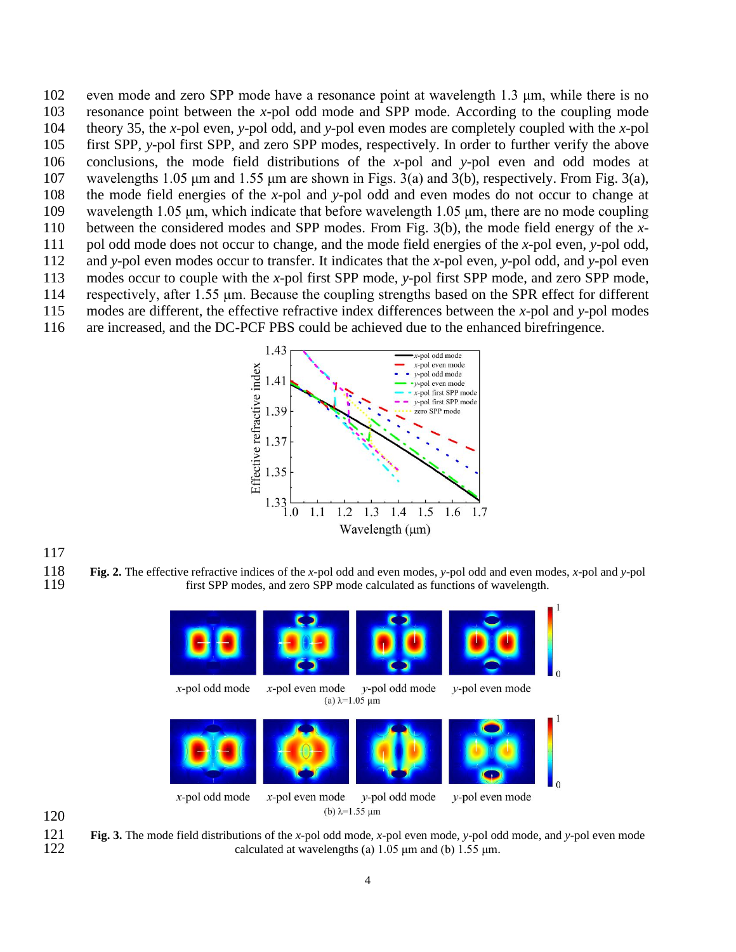even mode and zero SPP mode have a resonance point at wavelength 1.3 μm, while there is no resonance point between the *x*-pol odd mode and SPP mode. According to the coupling mode theory [35,](#page-11-12) the *x*-pol even, *y*-pol odd, and *y*-pol even modes are completely coupled with the *x*-pol first SPP, *y*-pol first SPP, and zero SPP modes, respectively. In order to further verify the above conclusions, the mode field distributions of the *x*-pol and *y*-pol even and odd modes at wavelengths 1.05 μm and 1.55 μm are shown in Figs. 3(a) and 3(b), respectively. From Fig. 3(a), the mode field energies of the *x*-pol and *y*-pol odd and even modes do not occur to change at wavelength 1.05 μm, which indicate that before wavelength 1.05 μm, there are no mode coupling between the considered modes and SPP modes. From Fig. 3(b), the mode field energy of the *x*- pol odd mode does not occur to change, and the mode field energies of the *x*-pol even, *y*-pol odd, and *y*-pol even modes occur to transfer. It indicates that the *x*-pol even, *y*-pol odd, and *y*-pol even modes occur to couple with the *x*-pol first SPP mode, *y*-pol first SPP mode, and zero SPP mode, respectively, after 1.55 μm. Because the coupling strengths based on the SPR effect for different modes are different, the effective refractive index differences between the *x*-pol and *y*-pol modes are increased, and the DC-PCF PBS could be achieved due to the enhanced birefringence.



 **Fig. 2.** The effective refractive indices of the *x*-pol odd and even modes, *y*-pol odd and even modes, *x*-pol and *y*-pol first SPP modes, and zero SPP mode calculated as functions of wavelength.



 **Fig. 3.** The mode field distributions of the *x*-pol odd mode, *x*-pol even mode, *y*-pol odd mode, and *y-*pol even mode calculated at wavelengths (a)  $1.05 \mu m$  and (b)  $1.55 \mu m$ .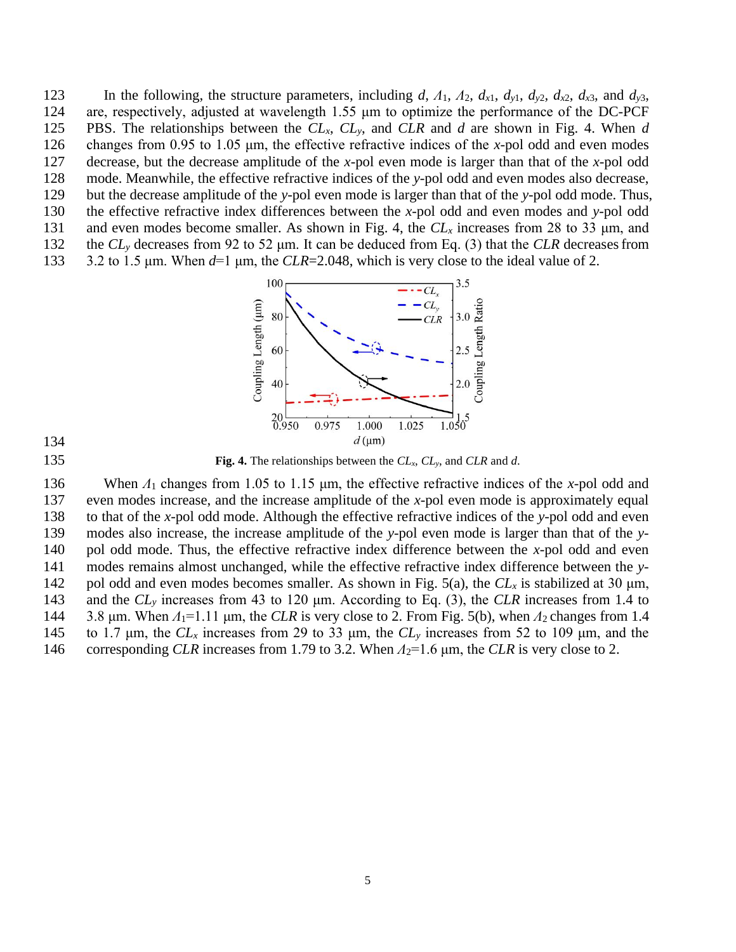123 In the following, the structure parameters, including *d*,  $\Lambda_1$ ,  $\Lambda_2$ ,  $d_{x1}$ ,  $d_{y1}$ ,  $d_{y2}$ ,  $d_{x2}$ ,  $d_{x3}$ , and  $d_{y3}$ , are, respectively, adjusted at wavelength 1.55 μm to optimize the performance of the DC-PCF PBS. The relationships between the *CLx*, *CLy*, and *CLR* and *d* are shown in Fig. 4. When *d* changes from 0.95 to 1.05 μm, the effective refractive indices of the *x*-pol odd and even modes decrease, but the decrease amplitude of the *x*-pol even mode is larger than that of the *x*-pol odd mode. Meanwhile, the effective refractive indices of the *y*-pol odd and even modes also decrease, but the decrease amplitude of the *y*-pol even mode is larger than that of the *y*-pol odd mode. Thus,

- 130 the effective refractive index differences between the *x*-pol odd and even modes and *y*-pol odd
- 131 and even modes become smaller. As shown in Fig. 4, the  $CL<sub>x</sub>$  increases from 28 to 33  $\mu$ m, and
- 132 the *CL<sup>y</sup>* decreases from 92 to 52 μm. It can be deduced from Eq. (3) that the *CLR* decreasesfrom 133 3.2 to 1.5 μm. When *d*=1 μm, the *CLR*=2.048, which is very close to the ideal value of 2.
	- 100  $\frac{CL_y}{CL_R}$ Coupling Length (µm) Coupling Length Ratio  $-3.0$ 80  $2.5$ 60 40  $2.0$  $\sum_{1.050}^{1.5}$  $^{20}_{0.950}$ 1.025 0.975 1.000  $d \, (\mu m)$

134

135 **Fig. 4.** The relationships between the *CLx*, *CLy*, and *CLR* and *d*.

 When *Λ*<sup>1</sup> changes from 1.05 to 1.15 μm, the effective refractive indices of the *x*-pol odd and even modes increase, and the increase amplitude of the *x*-pol even mode is approximately equal to that of the *x*-pol odd mode. Although the effective refractive indices of the *y*-pol odd and even modes also increase, the increase amplitude of the *y*-pol even mode is larger than that of the *y*- pol odd mode. Thus, the effective refractive index difference between the *x*-pol odd and even modes remains almost unchanged, while the effective refractive index difference between the *y*-142 pol odd and even modes becomes smaller. As shown in Fig. 5(a), the  $CL<sub>x</sub>$  is stabilized at 30  $\mu$ m, and the *CL<sup>y</sup>* increases from 43 to 120 μm. According to Eq. (3), the *CLR* increases from 1.4 to 144 3.8 μm. When  $Λ_1$ =1.11 μm, the *CLR* is very close to 2. From Fig. 5(b), when  $Λ_2$  changes from 1.4 to 1.7 μm, the *CL<sup>x</sup>* increases from 29 to 33 μm, the *CL<sup>y</sup>* increases from 52 to 109 μm, and the 146 corresponding *CLR* increases from 1.79 to 3.2. When  $Λ_2$ =1.6 μm, the *CLR* is very close to 2.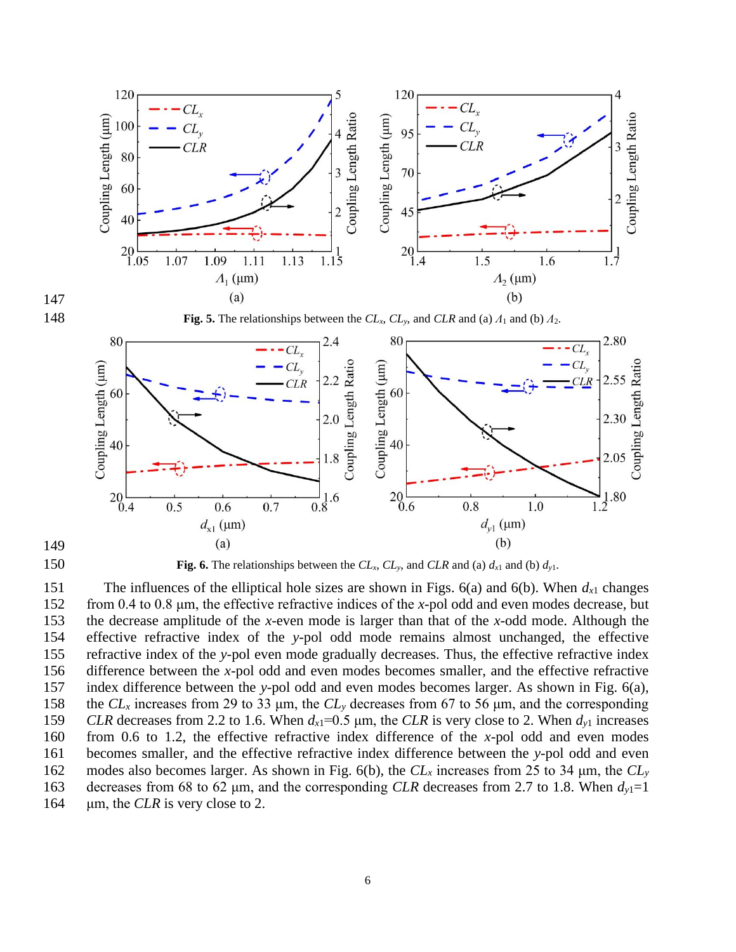

150 **Fig. 6.** The relationships between the  $CL_x$ ,  $CL_y$ , and  $CLR$  and (a)  $d_{x1}$  and (b)  $d_{y1}$ .

151 The influences of the elliptical hole sizes are shown in Figs.  $6(a)$  and  $6(b)$ . When  $d_{x1}$  changes from 0.4 to 0.8 μm, the effective refractive indices of the *x*-pol odd and even modes decrease, but the decrease amplitude of the *x*-even mode is larger than that of the *x*-odd mode. Although the effective refractive index of the *y*-pol odd mode remains almost unchanged, the effective refractive index of the *y*-pol even mode gradually decreases. Thus, the effective refractive index difference between the *x*-pol odd and even modes becomes smaller, and the effective refractive index difference between the *y*-pol odd and even modes becomes larger. As shown in Fig. 6(a), the *CL<sup>x</sup>* increases from 29 to 33 μm, the *CL<sup>y</sup>* decreases from 67 to 56 μm, and the corresponding *CLR* decreases from 2.2 to 1.6. When  $d_{x1} = 0.5 \mu m$ , the *CLR* is very close to 2. When  $d_{y1}$  increases from 0.6 to 1.2, the effective refractive index difference of the *x*-pol odd and even modes becomes smaller, and the effective refractive index difference between the *y*-pol odd and even modes also becomes larger. As shown in Fig. 6(b), the *CL<sup>x</sup>* increases from 25 to 34 μm, the *CL<sup>y</sup>* decreases from 68 to 62 μm, and the corresponding *CLR* decreases from 2.7 to 1.8. When *dy*1=1 μm, the *CLR* is very close to 2.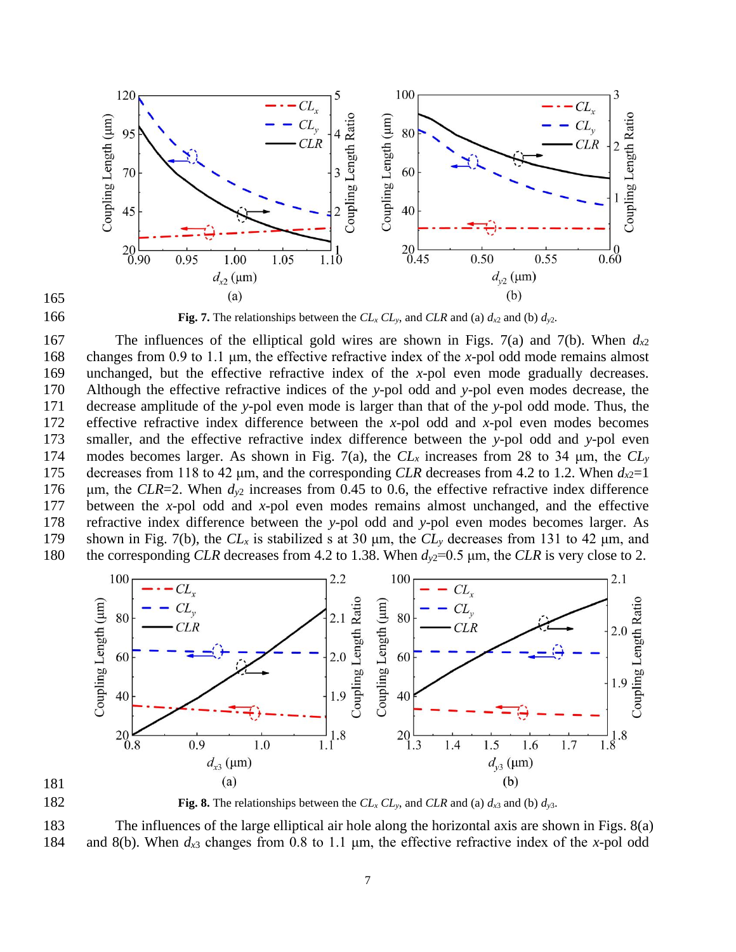



166 **Fig. 7.** The relationships between the  $CL_x CL_y$ , and  $CLR$  and (a)  $d_{x2}$  and (b)  $d_{y2}$ .

 The influences of the elliptical gold wires are shown in Figs. 7(a) and 7(b). When *dx*<sup>2</sup> changes from 0.9 to 1.1 μm, the effective refractive index of the *x*-pol odd mode remains almost unchanged, but the effective refractive index of the *x*-pol even mode gradually decreases. Although the effective refractive indices of the *y*-pol odd and *y*-pol even modes decrease, the decrease amplitude of the *y*-pol even mode is larger than that of the *y*-pol odd mode. Thus, the effective refractive index difference between the *x*-pol odd and *x*-pol even modes becomes smaller, and the effective refractive index difference between the *y*-pol odd and *y*-pol even modes becomes larger. As shown in Fig. 7(a), the *CL<sup>x</sup>* increases from 28 to 34 μm, the *CL<sup>y</sup>* 175 decreases from 118 to 42  $\mu$ m, and the corresponding *CLR* decreases from 4.2 to 1.2. When  $d_{x2}=1$  μm, the *CLR*=2. When *dy*<sup>2</sup> increases from 0.45 to 0.6, the effective refractive index difference between the *x*-pol odd and *x*-pol even modes remains almost unchanged, and the effective refractive index difference between the *y*-pol odd and *y*-pol even modes becomes larger. As shown in Fig. 7(b), the *CL<sup>x</sup>* is stabilized s at 30 μm, the *CL<sup>y</sup>* decreases from 131 to 42 μm, and 180 the corresponding *CLR* decreases from 4.2 to 1.38. When  $d<sub>v2</sub>=0.5$  µm, the *CLR* is very close to 2.





182 **Fig. 8.** The relationships between the  $CL<sub>x</sub> CL<sub>y</sub>$ , and  $CL<sub>R</sub>$  and (a)  $d_{x3}$  and (b)  $d_{y3}$ .

 The influences of the large elliptical air hole along the horizontal axis are shown in Figs. 8(a) and 8(b). When *dx*<sup>3</sup> changes from 0.8 to 1.1 μm, the effective refractive index of the *x*-pol odd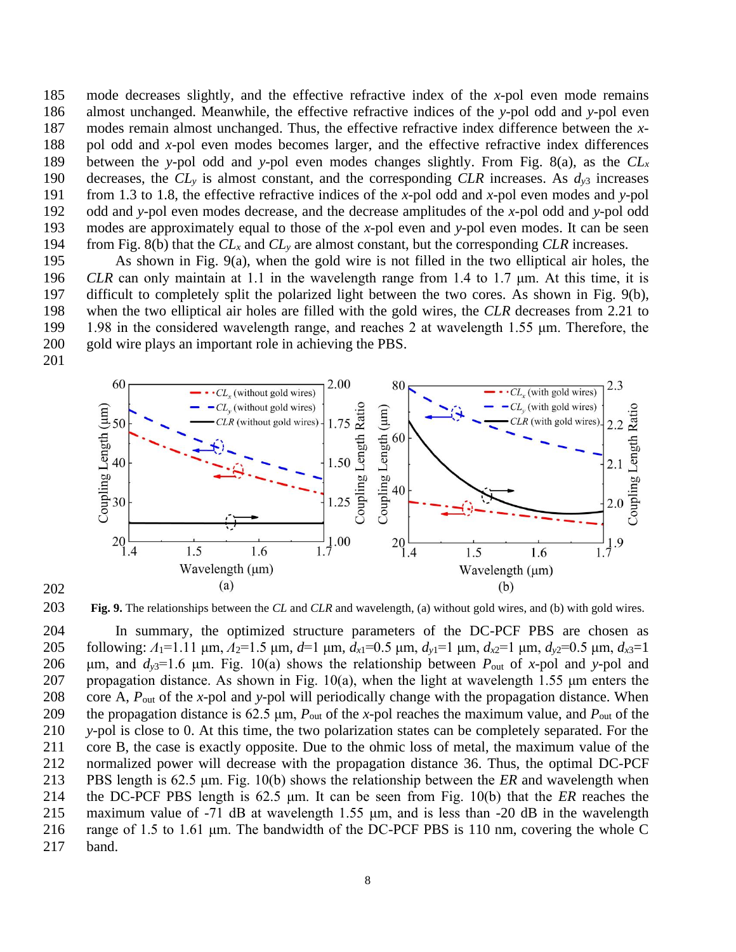mode decreases slightly, and the effective refractive index of the *x*-pol even mode remains almost unchanged. Meanwhile, the effective refractive indices of the *y*-pol odd and *y*-pol even modes remain almost unchanged. Thus, the effective refractive index difference between the *x*- pol odd and *x*-pol even modes becomes larger, and the effective refractive index differences between the *y*-pol odd and *y*-pol even modes changes slightly. From Fig. 8(a), as the *CL<sup>x</sup>* decreases, the *CL<sup>y</sup>* is almost constant, and the corresponding *CLR* increases. As *dy*<sup>3</sup> increases from 1.3 to 1.8, the effective refractive indices of the *x*-pol odd and *x*-pol even modes and *y*-pol odd and *y*-pol even modes decrease, and the decrease amplitudes of the *x*-pol odd and *y*-pol odd modes are approximately equal to those of the *x*-pol even and *y*-pol even modes. It can be seen from Fig. 8(b) that the *CL<sup>x</sup>* and *CL<sup>y</sup>* are almost constant, but the corresponding *CLR* increases.

 As shown in Fig. 9(a), when the gold wire is not filled in the two elliptical air holes, the *CLR* can only maintain at 1.1 in the wavelength range from 1.4 to 1.7 μm. At this time, it is difficult to completely split the polarized light between the two cores. As shown in Fig. 9(b), when the two elliptical air holes are filled with the gold wires, the *CLR* decreases from 2.21 to 1.98 in the considered wavelength range, and reaches 2 at wavelength 1.55 μm. Therefore, the gold wire plays an important role in achieving the PBS.





**Fig. 9.** The relationships between the *CL* and *CLR* and wavelength, (a) without gold wires, and (b) with gold wires.

 In summary, the optimized structure parameters of the DC-PCF PBS are chosen as following: *Λ*1=1.11 μm, *Λ*2=1.5 μm, *d*=1 μm, *dx*1=0.5 μm, *dy*1=1 μm, *dx*2=1 μm, *dy*2=0.5 μm, *dx*3=1 206 μm, and  $d_{y3}=1.6$  μm. Fig. 10(a) shows the relationship between  $P_{out}$  of *x*-pol and *y*-pol and 207 propagation distance. As shown in Fig.  $10(a)$ , when the light at wavelength 1.55  $\mu$ m enters the core A, *P*out of the *x*-pol and *y*-pol will periodically change with the propagation distance. When the propagation distance is 62.5 μm, *P*out of the *x-*pol reaches the maximum value, and *P*out of the *y-*pol is close to 0. At this time, the two polarization states can be completely separated. For the core B, the case is exactly opposite. Due to the ohmic loss of metal, the maximum value of the normalized power will decrease with the propagation distance [36.](#page-11-13) Thus, the optimal DC-PCF PBS length is 62.5 μm. Fig. 10(b) shows the relationship between the *ER* and wavelength when the DC-PCF PBS length is 62.5 μm. It can be seen from Fig. 10(b) that the *ER* reaches the maximum value of -71 dB at wavelength 1.55 μm, and is less than -20 dB in the wavelength range of 1.5 to 1.61 μm. The bandwidth of the DC-PCF PBS is 110 nm, covering the whole C band.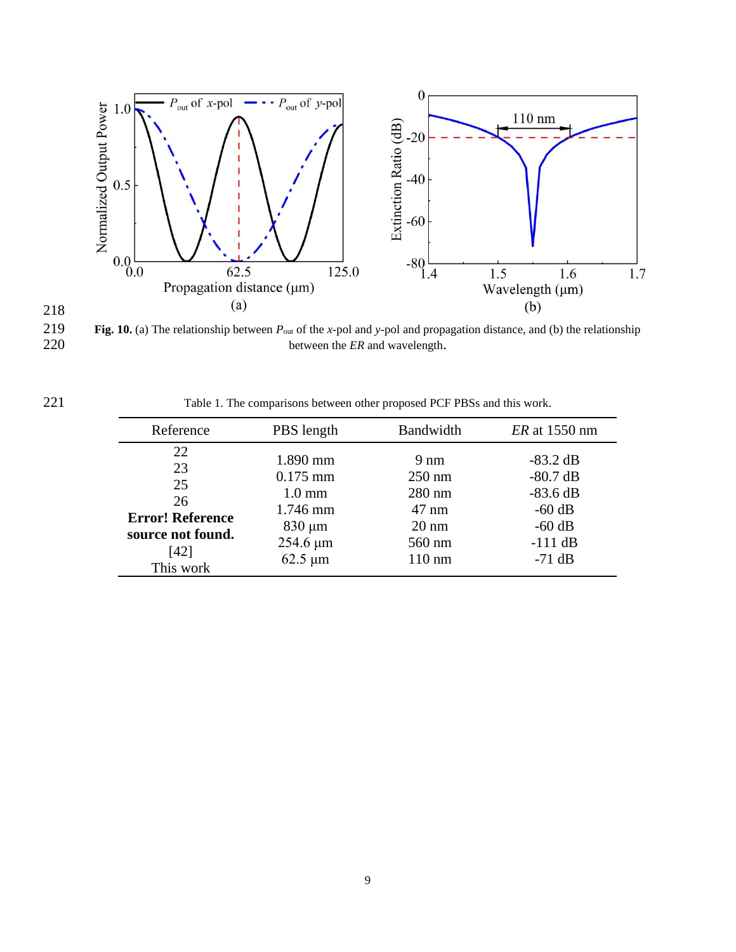

**Fig. 10.** (a) The relationship between  $P_{out}$  of the *x*-pol and *y*-pol and propagation distance, and (b) the relationship between the *ER* and wavelength. between the *ER* and wavelength.

218

Table 1. The comparisons between other proposed PCF PBSs and this work.

| Reference                                                                                 | PBS length                                                                                               | Bandwidth                                                                                                          | <i>ER</i> at 1550 nm                                                                    |
|-------------------------------------------------------------------------------------------|----------------------------------------------------------------------------------------------------------|--------------------------------------------------------------------------------------------------------------------|-----------------------------------------------------------------------------------------|
| 22<br>23<br>25<br>26<br><b>Error! Reference</b><br>source not found.<br>[42]<br>This work | 1.890 mm<br>$0.175$ mm<br>$1.0 \text{ mm}$<br>1.746 mm<br>$830 \mu m$<br>$254.6 \,\mu m$<br>$62.5 \mu m$ | $9 \text{ nm}$<br>$250 \text{ nm}$<br>$280$ nm<br>$47 \text{ nm}$<br>$20 \text{ nm}$<br>560 nm<br>$110 \text{ nm}$ | $-83.2$ dB<br>$-80.7$ dB<br>$-83.6$ dB<br>$-60$ dB<br>$-60$ dB<br>$-111$ dB<br>$-71$ dB |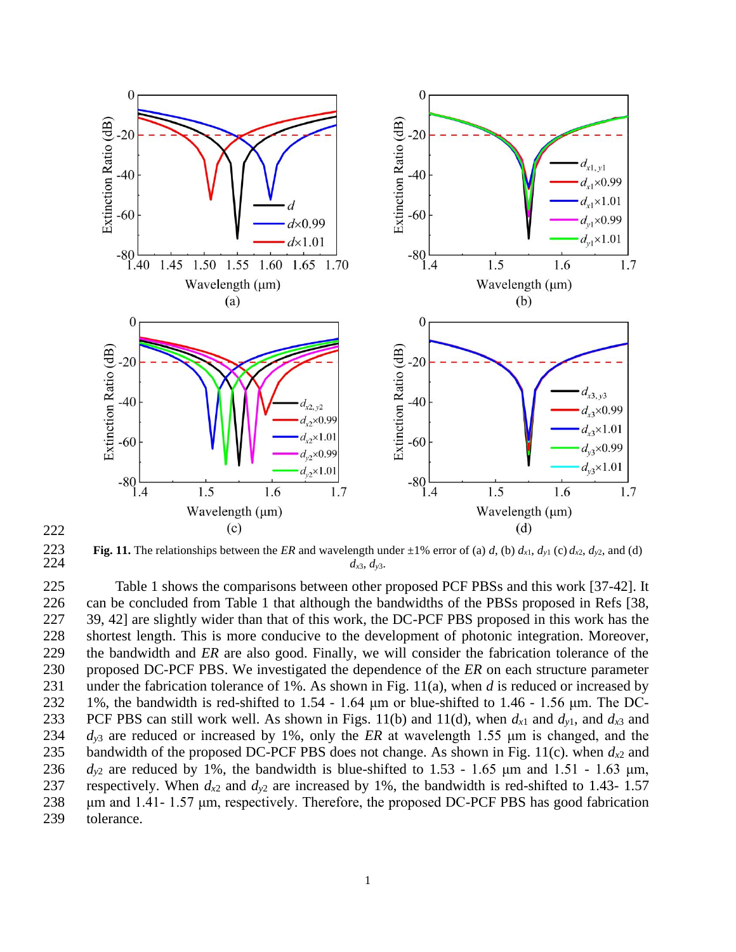

**Fig. 11.** The relationships between the *ER* and wavelength under  $\pm 1\%$  error of (a) *d*, (b)  $d_{x1}$ ,  $d_{y1}$  (c)  $d_{x2}$ ,  $d_{y2}$ , and (d)  $d_{x3}$ ,  $d_{y3}$ . 224  $d_{x3}, d_{y3}$ 

 Table 1 shows the comparisons between other proposed PCF PBSs and this work [37-42]. It can be concluded from Table 1 that although the bandwidths of the PBSs proposed in Refs [38, 39, 42] are slightly wider than that of this work, the DC-PCF PBS proposed in this work has the shortest length. This is more conducive to the development of photonic integration. Moreover, the bandwidth and *ER* are also good. Finally, we will consider the fabrication tolerance of the proposed DC-PCF PBS. We investigated the dependence of the *ER* on each structure parameter under the fabrication tolerance of 1%. As shown in Fig. 11(a), when *d* is reduced or increased by 1%, the bandwidth is red-shifted to 1.54 - 1.64 μm or blue-shifted to 1.46 - 1.56 μm. The DC-233 PCF PBS can still work well. As shown in Figs. 11(b) and 11(d), when  $d_{x1}$  and  $d_{y1}$ , and  $d_{x3}$  and *dy*<sup>3</sup> are reduced or increased by 1%, only the *ER* at wavelength 1.55 μm is changed, and the 235 bandwidth of the proposed DC-PCF PBS does not change. As shown in Fig. 11(c). when  $d_{x2}$  and  $d_{v2}$  are reduced by 1%, the bandwidth is blue-shifted to 1.53 - 1.65  $\mu$ m and 1.51 - 1.63  $\mu$ m, 237 respectively. When  $d_{x2}$  and  $d_{y2}$  are increased by 1%, the bandwidth is red-shifted to 1.43- 1.57 μm and 1.41- 1.57 μm, respectively. Therefore, the proposed DC-PCF PBS has good fabrication tolerance.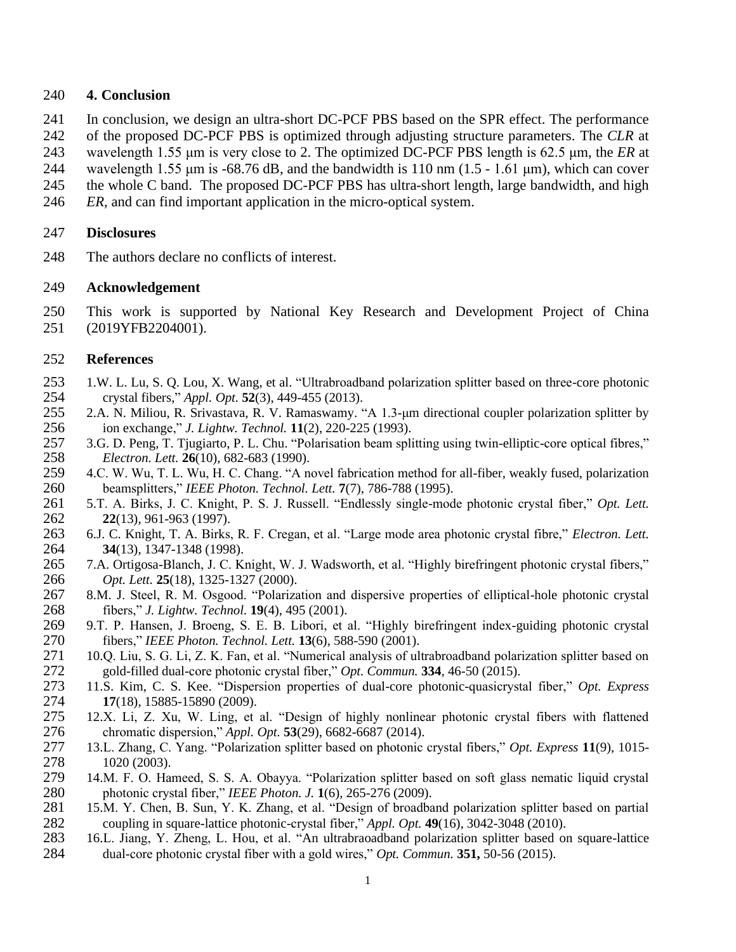#### **4. Conclusion**

- In conclusion, we design an ultra-short DC-PCF PBS based on the SPR effect. The performance
- of the proposed DC-PCF PBS is optimized through adjusting structure parameters. The *CLR* at
- wavelength 1.55 μm is very close to 2. The optimized DC-PCF PBS length is 62.5 μm, the *ER* at
- wavelength 1.55 μm is -68.76 dB, and the bandwidth is 110 nm (1.5 1.61 μm), which can cover
- the whole C band. The proposed DC-PCF PBS has ultra-short length, large bandwidth, and high
- *ER*, and can find important application in the micro-optical system.

### **Disclosures**

The authors declare no conflicts of interest.

#### **Acknowledgement**

This work is supported by National Key Research and Development Project of China

(2019YFB2204001).

#### **References**

- <span id="page-10-0"></span> 1.W. L. Lu, S. Q. Lou, X. Wang, et al. "Ultrabroadband polarization splitter based on three-core photonic crystal fibers," *Appl. Opt.* **52**(3), 449-455 (2013).
- <span id="page-10-1"></span> 2.A. N. Miliou, R. Srivastava, R. V. Ramaswamy. "A 1.3-μm directional coupler polarization splitter by ion exchange," *J. Lightw. Technol.* **11**(2), 220-225 (1993).
- 3.G. D. Peng, T. Tjugiarto, P. L. Chu. "Polarisation beam splitting using twin-elliptic-core optical fibres," *Electron. Lett.* **26**(10), 682-683 (1990).
- 4.C. W. Wu, T. L. Wu, H. C. Chang. "A novel fabrication method for all-fiber, weakly fused, polarization beamsplitters," *IEEE Photon. Technol. Lett.* **7**(7), 786-788 (1995).
- <span id="page-10-2"></span> 5.T. A. Birks, J. C. Knight, P. S. J. Russell. "Endlessly single-mode photonic crystal fiber," *Opt. Lett.* **22**(13), 961-963 (1997).
- <span id="page-10-3"></span> 6.J. C. Knight, T. A. Birks, R. F. Cregan, et al. "Large mode area photonic crystal fibre," *Electron. Lett.* **34**(13), 1347-1348 (1998).
- <span id="page-10-4"></span> 7.A. Ortigosa-Blanch, J. C. Knight, W. J. Wadsworth, et al. "Highly birefringent photonic crystal fibers," *Opt. Lett.* **25**(18), 1325-1327 (2000).
- 8.M. J. Steel, R. M. Osgood. "Polarization and dispersive properties of elliptical-hole photonic crystal fibers," *J. Lightw. Technol.* **19**(4), 495 (2001).
- 9.T. P. Hansen, J. Broeng, S. E. B. Libori, et al. "Highly birefringent index-guiding photonic crystal fibers," *IEEE Photon. Technol. Lett.* **13**(6), 588-590 (2001).
- <span id="page-10-5"></span> 10.Q. Liu, S. G. Li, Z. K. Fan, et al. "Numerical analysis of ultrabroadband polarization splitter based on gold-filled dual-core photonic crystal fiber," *Opt. Commun.* **334**, 46-50 (2015).
- <span id="page-10-6"></span> 11.S. Kim, C. S. Kee. "Dispersion properties of dual-core photonic-quasicrystal fiber," *Opt. Express* 274 **17**(18), 15885-15890 (2009).<br>275 12.X. Li, Z. Xu, W. Ling. et
- <span id="page-10-7"></span> 12.X. Li, Z. Xu, W. Ling, et al. "Design of highly nonlinear photonic crystal fibers with flattened chromatic dispersion," *Appl. Opt.* **53**(29), 6682-6687 (2014).
- 13.L. Zhang, C. Yang. "Polarization splitter based on photonic crystal fibers," *Opt. Express* **11**(9), 1015- 1020 (2003).
- 14.M. F. O. Hameed, S. S. A. Obayya. "Polarization splitter based on soft glass nematic liquid crystal photonic crystal fiber," *IEEE Photon. J.* **1**(6), 265-276 (2009).
- 15.M. Y. Chen, B. Sun, Y. K. Zhang, et al. "Design of broadband polarization splitter based on partial coupling in square-lattice photonic-crystal fiber," *Appl. Opt.* **49**(16), 3042-3048 (2010).
- 16.L. Jiang, Y. Zheng, L. Hou, et al. "An ultrabraoadband polarization splitter based on square-lattice dual-core photonic crystal fiber with a gold wires," *Opt. Commun.* **351,** 50-56 (2015).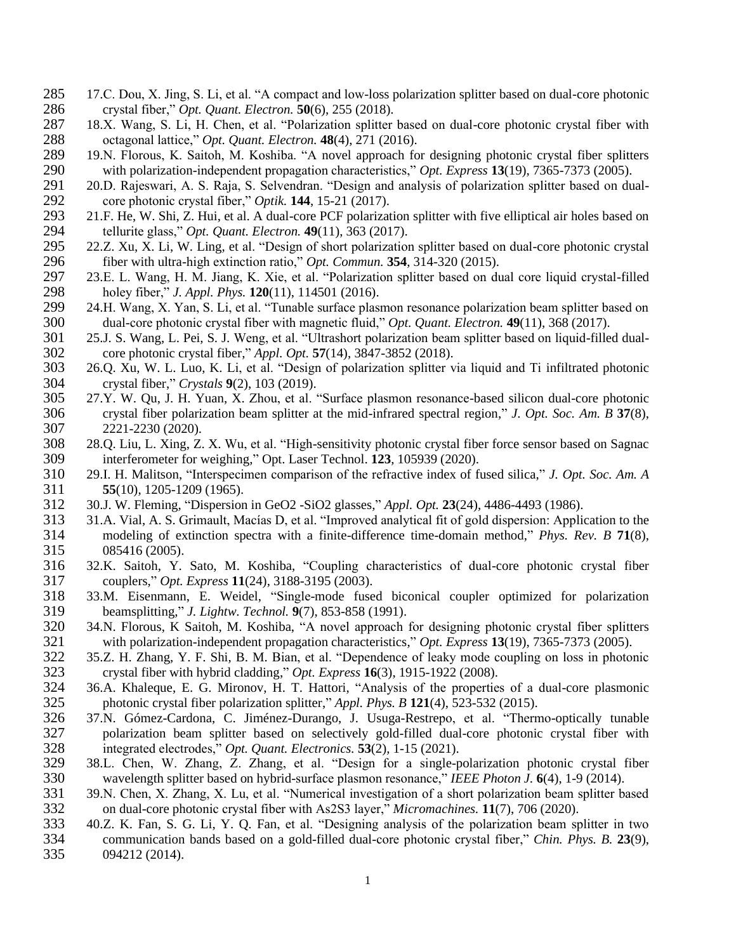- 17.C. Dou, X. Jing, S. Li, et al. "A compact and low-loss polarization splitter based on dual-core photonic crystal fiber," *Opt. Quant. Electron.* **50**(6), 255 (2018).
- 18.X. Wang, S. Li, H. Chen, et al. "Polarization splitter based on dual-core photonic crystal fiber with octagonal lattice," *Opt. Quant. Electron.* **48**(4), 271 (2016).
- <span id="page-11-0"></span> 19.N. Florous, K. Saitoh, M. Koshiba. "A novel approach for designing photonic crystal fiber splitters 290 with polarization-independent propagation characteristics," *Opt. Express* 13(19), 7365-7373 (2005).<br>291 20.D. Rajeswari, A. S. Raja, S. Selvendran. "Design and analysis of polarization splitter based on du
- 20.D. Rajeswari, A. S. Raja, S. Selvendran. "Design and analysis of polarization splitter based on dual-core photonic crystal fiber," *Optik.* **144**, 15-21 (2017).
- 21.F. He, W. Shi, Z. Hui, et al. A dual-core PCF polarization splitter with five elliptical air holes based on 294 tellurite glass," *Opt. Quant. Electron.* **49**(11), 363 (2017).<br>295 22.Z. Xu, X. Li, W. Ling, et al. "Design of short polarization
- <span id="page-11-1"></span>22.Z. Xu, X. Li, W. Ling, et al. "Design of short polarization splitter based on dual-core photonic crystal fiber with ultra-high extinction ratio," *Opt. Commun.* **354**, 314-320 (2015).
- <span id="page-11-2"></span>297 23.E. L. Wang, H. M. Jiang, K. Xie, et al. "Polarization splitter based on dual core liquid crystal-filled<br>298 holey fiber," J. Appl. Phys. 120(11), 114501 (2016). holey fiber," *J. Appl. Phys.* **120**(11), 114501 (2016).
- <span id="page-11-3"></span> 24.H. Wang, X. Yan, S. Li, et al. "Tunable surface plasmon resonance polarization beam splitter based on dual-core photonic crystal fiber with magnetic fluid," *Opt. Quant. Electron.* **49**(11), 368 (2017).
- <span id="page-11-4"></span> 25.J. S. Wang, L. Pei, S. J. Weng, et al. "Ultrashort polarization beam splitter based on liquid-filled dual-core photonic crystal fiber," *Appl. Opt.* **57**(14), 3847-3852 (2018).
- <span id="page-11-5"></span> 26.Q. Xu, W. L. Luo, K. Li, et al. "Design of polarization splitter via liquid and Ti infiltrated photonic crystal fiber," *Crystals* **9**(2), 103 (2019).
- <span id="page-11-6"></span> 27.Y. W. Qu, J. H. Yuan, X. Zhou, et al. "Surface plasmon resonance-based silicon dual-core photonic crystal fiber polarization beam splitter at the mid-infrared spectral region," *J. Opt. Soc. Am. B* **37**(8), 2221-2230 (2020).
- <span id="page-11-7"></span> 28.Q. Liu, L. Xing, Z. X. Wu, et al. "High-sensitivity photonic crystal fiber force sensor based on Sagnac interferometer for weighing," Opt. Laser Technol. **123**, 105939 (2020).
- 29.I. H. Malitson, "Interspecimen comparison of the refractive index of fused silica," *J. Opt. Soc. Am. A* **55**(10), 1205-1209 (1965).
- 30.J. W. Fleming, "Dispersion in GeO2 -SiO2 glasses," *Appl. Opt.* **23**(24), 4486-4493 (1986).
- <span id="page-11-8"></span> 31.A. Vial, A. S. Grimault, Macías D, et al. "Improved analytical fit of gold dispersion: Application to the modeling of extinction spectra with a finite-difference time-domain method," *Phys. Rev. B* **71**(8), 085416 (2005).
- <span id="page-11-9"></span> 32.K. Saitoh, Y. Sato, M. Koshiba, "Coupling characteristics of dual-core photonic crystal fiber couplers," *Opt. Express* **11**(24), 3188-3195 (2003).
- <span id="page-11-10"></span> 33.M. Eisenmann, E. Weidel, "Single-mode fused biconical coupler optimized for polarization beamsplitting," *J. Lightw. Technol.* **9**(7), 853-858 (1991).
- <span id="page-11-11"></span>320 34.N. Florous, K Saitoh, M. Koshiba, "A novel approach for designing photonic crystal fiber splitters<br>321 with polarization-independent propagation characteristics," Opt. Express 13(19), 7365-7373 (2005). 321 with polarization-independent propagation characteristics," *Opt. Express* **13**(19), 7365-7373 (2005).<br>322 35.Z. H. Zhang, Y. F. Shi, B. M. Bian, et al. "Dependence of leaky mode coupling on loss in photon
- <span id="page-11-12"></span> 35.Z. H. Zhang, Y. F. Shi, B. M. Bian, et al. "Dependence of leaky mode coupling on loss in photonic crystal fiber with hybrid cladding," *Opt. Express* **16**(3), 1915-1922 (2008).
- <span id="page-11-13"></span> 36.A. Khaleque, E. G. Mironov, H. T. Hattori, "Analysis of the properties of a dual-core plasmonic photonic crystal fiber polarization splitter," *Appl. Phys. B* **121**(4), 523-532 (2015).
- 37.N. Gómez-Cardona, C. Jiménez-Durango, J. Usuga-Restrepo, et al. "Thermo-optically tunable 327 polarization beam splitter based on selectively gold-filled dual-core photonic crystal fiber with<br>328 integrated electrodes," *Opt. Quant. Electronics*. 53(2), 1-15 (2021). integrated electrodes," *Opt. Quant. Electronics.* **53**(2), 1-15 (2021).
- 38.L. Chen, W. Zhang, Z. Zhang, et al. "Design for a single-polarization photonic crystal fiber wavelength splitter based on hybrid-surface plasmon resonance," *IEEE Photon J.* **6**(4), 1-9 (2014).
- 39.N. Chen, X. Zhang, X. Lu, et al. "Numerical investigation of a short polarization beam splitter based on dual-core photonic crystal fiber with As2S3 layer," *Micromachines.* **11**(7), 706 (2020).
- 40.Z. K. Fan, S. G. Li, Y. Q. Fan, et al. "Designing analysis of the polarization beam splitter in two communication bands based on a gold-filled dual-core photonic crystal fiber," *Chin. Phys. B.* **23**(9), 094212 (2014).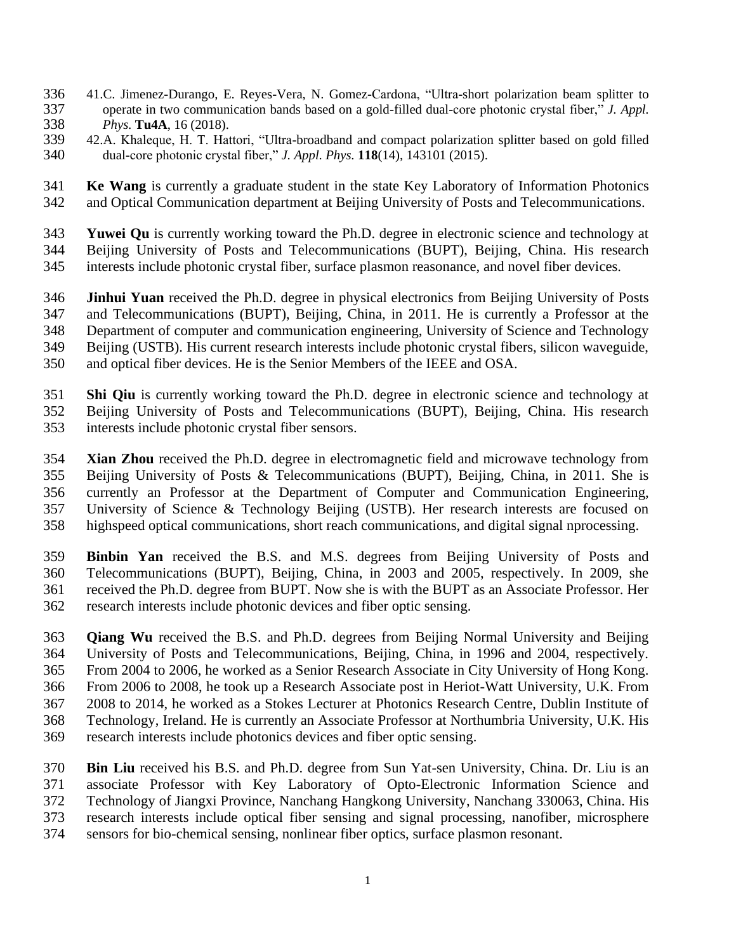- 41.C. Jimenez-Durango, E. Reyes-Vera, N. Gomez-Cardona, "Ultra-short polarization beam splitter to operate in two communication bands based on a gold-filled dual-core photonic crystal fiber," *J. Appl. Phys.* **Tu4A**, 16 (2018).
- 42.A. Khaleque, H. T. Hattori, "Ultra-broadband and compact polarization splitter based on gold filled dual-core photonic crystal fiber," *J. Appl. Phys.* **118**(14), 143101 (2015).
- **Ke Wang** is currently a graduate student in the state Key Laboratory of Information Photonics and Optical Communication department at Beijing University of Posts and Telecommunications.
- **Yuwei Qu** is currently working toward the Ph.D. degree in electronic science and technology at Beijing University of Posts and Telecommunications (BUPT), Beijing, China. His research interests include photonic crystal fiber, surface plasmon reasonance, and novel fiber devices.
- **Jinhui Yuan** received the Ph.D. degree in physical electronics from Beijing University of Posts and Telecommunications (BUPT), Beijing, China, in 2011. He is currently a Professor at the Department of computer and communication engineering, University of Science and Technology Beijing (USTB). His current research interests include photonic crystal fibers, silicon waveguide, and optical fiber devices. He is the Senior Members of the IEEE and OSA.
- **Shi Qiu** is currently working toward the Ph.D. degree in electronic science and technology at Beijing University of Posts and Telecommunications (BUPT), Beijing, China. His research interests include photonic crystal fiber sensors.
- **Xian Zhou** received the Ph.D. degree in electromagnetic field and microwave technology from Beijing University of Posts & Telecommunications (BUPT), Beijing, China, in 2011. She is currently an Professor at the Department of Computer and Communication Engineering, University of Science & Technology Beijing (USTB). Her research interests are focused on highspeed optical communications, short reach communications, and digital signal nprocessing.
- **Binbin Yan** received the B.S. and M.S. degrees from Beijing University of Posts and Telecommunications (BUPT), Beijing, China, in 2003 and 2005, respectively. In 2009, she received the Ph.D. degree from BUPT. Now she is with the BUPT as an Associate Professor. Her research interests include photonic devices and fiber optic sensing.
- **Qiang Wu** received the B.S. and Ph.D. degrees from Beijing Normal University and Beijing University of Posts and Telecommunications, Beijing, China, in 1996 and 2004, respectively. From 2004 to 2006, he worked as a Senior Research Associate in City University of Hong Kong. From 2006 to 2008, he took up a Research Associate post in Heriot-Watt University, U.K. From 2008 to 2014, he worked as a Stokes Lecturer at Photonics Research Centre, Dublin Institute of Technology, Ireland. He is currently an Associate Professor at Northumbria University, U.K. His research interests include photonics devices and fiber optic sensing.
- **Bin Liu** received his B.S. and Ph.D. degree from Sun Yat-sen University, China. Dr. Liu is an associate Professor with Key Laboratory of Opto-Electronic Information Science and Technology of Jiangxi Province, Nanchang Hangkong University, Nanchang 330063, China. His research interests include optical fiber sensing and signal processing, nanofiber, microsphere sensors for bio-chemical sensing, nonlinear fiber optics, surface plasmon resonant.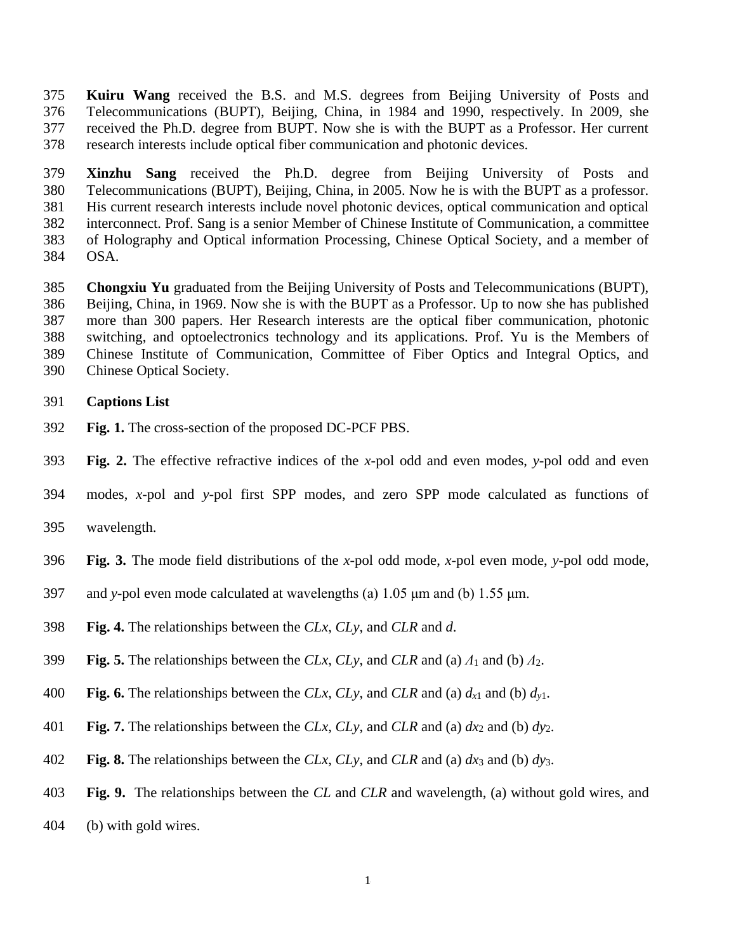**Kuiru Wang** received the B.S. and M.S. degrees from Beijing University of Posts and Telecommunications (BUPT), Beijing, China, in 1984 and 1990, respectively. In 2009, she received the Ph.D. degree from BUPT. Now she is with the BUPT as a Professor. Her current research interests include optical fiber communication and photonic devices.

 **Xinzhu Sang** received the Ph.D. degree from Beijing University of Posts and Telecommunications (BUPT), Beijing, China, in 2005. Now he is with the BUPT as a professor. His current research interests include novel photonic devices, optical communication and optical interconnect. Prof. Sang is a senior Member of Chinese Institute of Communication, a committee of Holography and Optical information Processing, Chinese Optical Society, and a member of OSA.

 **Chongxiu Yu** graduated from the Beijing University of Posts and Telecommunications (BUPT), Beijing, China, in 1969. Now she is with the BUPT as a Professor. Up to now she has published more than 300 papers. Her Research interests are the optical fiber communication, photonic switching, and optoelectronics technology and its applications. Prof. Yu is the Members of Chinese Institute of Communication, Committee of Fiber Optics and Integral Optics, and Chinese Optical Society.

# **Captions List**

- **Fig. 1.** The cross-section of the proposed DC-PCF PBS.
- **Fig. 2.** The effective refractive indices of the *x*-pol odd and even modes, *y*-pol odd and even
- modes, *x*-pol and *y*-pol first SPP modes, and zero SPP mode calculated as functions of
- wavelength.
- **Fig. 3.** The mode field distributions of the *x*-pol odd mode, *x*-pol even mode, *y*-pol odd mode,
- 397 and *y*-pol even mode calculated at wavelengths (a)  $1.05 \mu m$  and (b)  $1.55 \mu m$ .
- **Fig. 4.** The relationships between the *CLx*, *CLy*, and *CLR* and *d*.
- **Fig. 5.** The relationships between the *CLx*, *CLy*, and *CLR* and (a) *Λ*<sup>1</sup> and (b) *Λ*2.
- 400 **Fig. 6.** The relationships between the *CLx*, *CLy*, and *CLR* and (a)  $d_{x1}$  and (b)  $d_{y1}$ .
- 401 **Fig. 7.** The relationships between the *CLx*, *CLy*, and *CLR* and (a)  $dx_2$  and (b)  $dy_2$ .
- **Fig. 8.** The relationships between the *CLx*, *CLy*, and *CLR* and (a) *dx*<sup>3</sup> and (b) *dy*3.
- **Fig. 9.** The relationships between the *CL* and *CLR* and wavelength, (a) without gold wires, and
- (b) with gold wires.